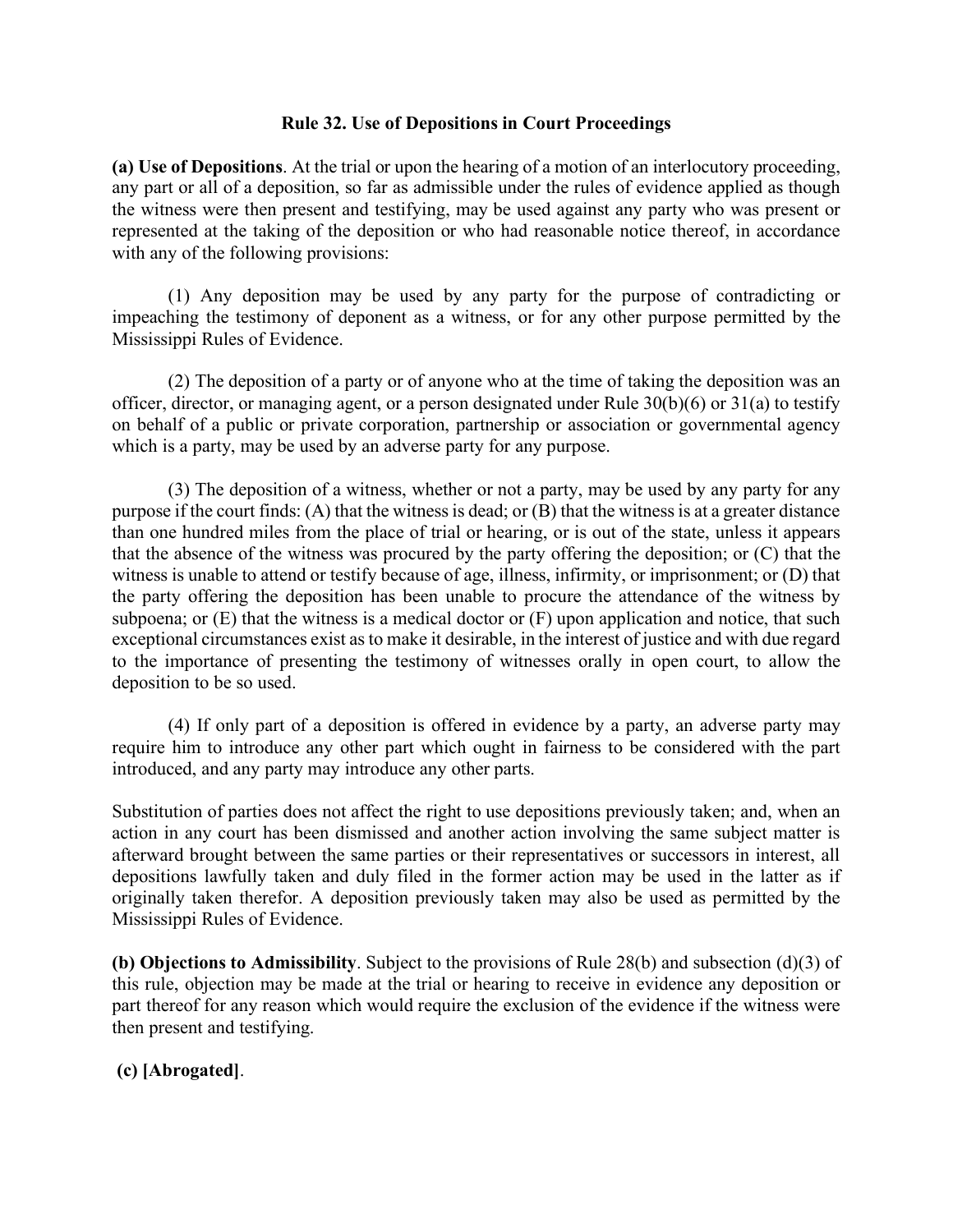### **Rule 32. Use of Depositions in Court Proceedings**

**(a) Use of Depositions**. At the trial or upon the hearing of a motion of an interlocutory proceeding, any part or all of a deposition, so far as admissible under the rules of evidence applied as though the witness were then present and testifying, may be used against any party who was present or represented at the taking of the deposition or who had reasonable notice thereof, in accordance with any of the following provisions:

(1) Any deposition may be used by any party for the purpose of contradicting or impeaching the testimony of deponent as a witness, or for any other purpose permitted by the Mississippi Rules of Evidence.

(2) The deposition of a party or of anyone who at the time of taking the deposition was an officer, director, or managing agent, or a person designated under Rule 30(b)(6) or 31(a) to testify on behalf of a public or private corporation, partnership or association or governmental agency which is a party, may be used by an adverse party for any purpose.

(3) The deposition of a witness, whether or not a party, may be used by any party for any purpose if the court finds: (A) that the witness is dead; or (B) that the witness is at a greater distance than one hundred miles from the place of trial or hearing, or is out of the state, unless it appears that the absence of the witness was procured by the party offering the deposition; or (C) that the witness is unable to attend or testify because of age, illness, infirmity, or imprisonment; or (D) that the party offering the deposition has been unable to procure the attendance of the witness by subpoena; or (E) that the witness is a medical doctor or (F) upon application and notice, that such exceptional circumstances exist as to make it desirable, in the interest of justice and with due regard to the importance of presenting the testimony of witnesses orally in open court, to allow the deposition to be so used.

(4) If only part of a deposition is offered in evidence by a party, an adverse party may require him to introduce any other part which ought in fairness to be considered with the part introduced, and any party may introduce any other parts.

Substitution of parties does not affect the right to use depositions previously taken; and, when an action in any court has been dismissed and another action involving the same subject matter is afterward brought between the same parties or their representatives or successors in interest, all depositions lawfully taken and duly filed in the former action may be used in the latter as if originally taken therefor. A deposition previously taken may also be used as permitted by the Mississippi Rules of Evidence.

**(b) Objections to Admissibility**. Subject to the provisions of Rule 28(b) and subsection (d)(3) of this rule, objection may be made at the trial or hearing to receive in evidence any deposition or part thereof for any reason which would require the exclusion of the evidence if the witness were then present and testifying.

# **(c) [Abrogated]**.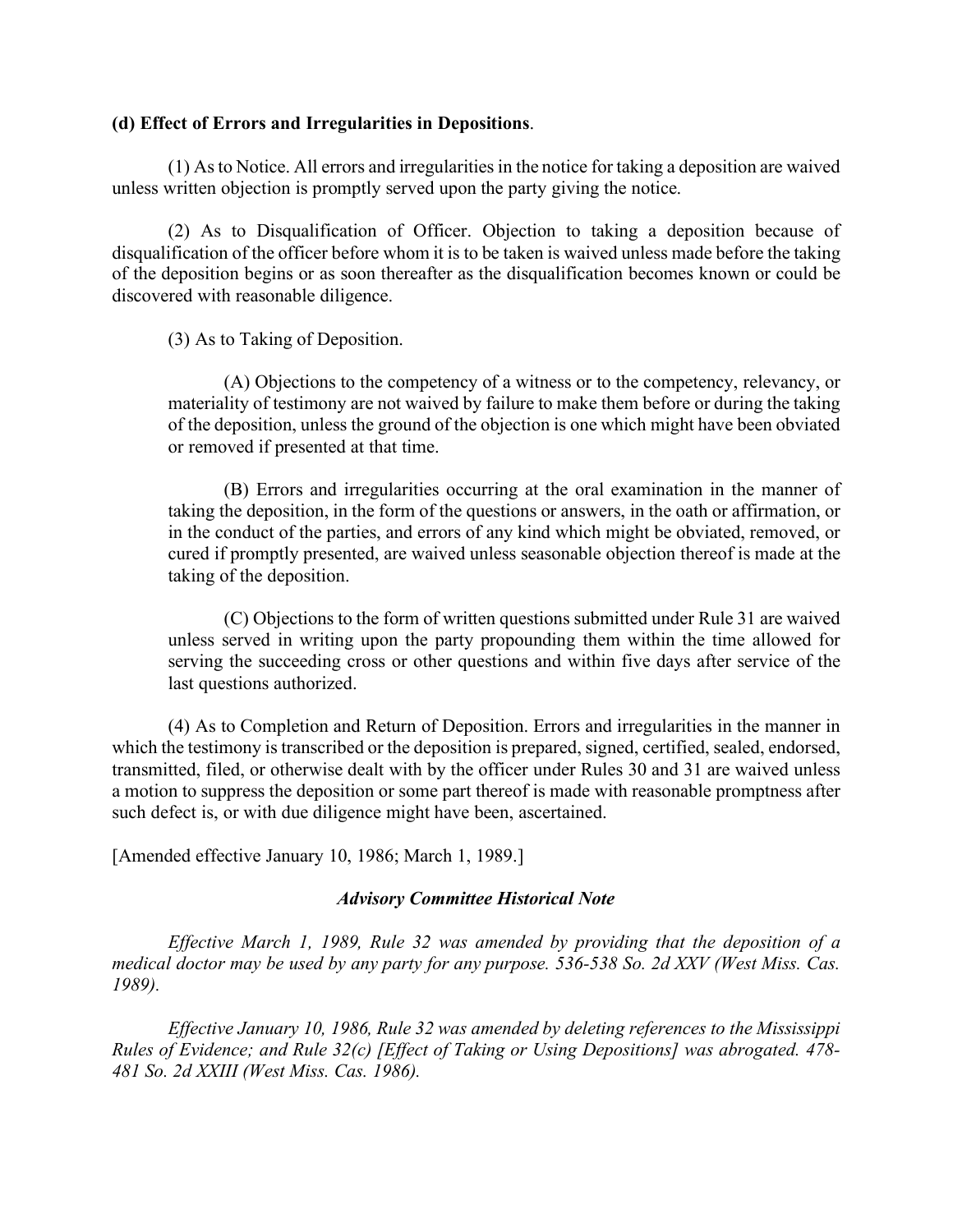### **(d) Effect of Errors and Irregularities in Depositions**.

(1) As to Notice. All errors and irregularities in the notice for taking a deposition are waived unless written objection is promptly served upon the party giving the notice.

(2) As to Disqualification of Officer. Objection to taking a deposition because of disqualification of the officer before whom it is to be taken is waived unless made before the taking of the deposition begins or as soon thereafter as the disqualification becomes known or could be discovered with reasonable diligence.

(3) As to Taking of Deposition.

(A) Objections to the competency of a witness or to the competency, relevancy, or materiality of testimony are not waived by failure to make them before or during the taking of the deposition, unless the ground of the objection is one which might have been obviated or removed if presented at that time.

(B) Errors and irregularities occurring at the oral examination in the manner of taking the deposition, in the form of the questions or answers, in the oath or affirmation, or in the conduct of the parties, and errors of any kind which might be obviated, removed, or cured if promptly presented, are waived unless seasonable objection thereof is made at the taking of the deposition.

(C) Objections to the form of written questions submitted under Rule 31 are waived unless served in writing upon the party propounding them within the time allowed for serving the succeeding cross or other questions and within five days after service of the last questions authorized.

(4) As to Completion and Return of Deposition. Errors and irregularities in the manner in which the testimony is transcribed or the deposition is prepared, signed, certified, sealed, endorsed, transmitted, filed, or otherwise dealt with by the officer under Rules 30 and 31 are waived unless a motion to suppress the deposition or some part thereof is made with reasonable promptness after such defect is, or with due diligence might have been, ascertained.

[Amended effective January 10, 1986; March 1, 1989.]

## *Advisory Committee Historical Note*

*Effective March 1, 1989, Rule 32 was amended by providing that the deposition of a medical doctor may be used by any party for any purpose. 536-538 So. 2d XXV (West Miss. Cas. 1989).* 

*Effective January 10, 1986, Rule 32 was amended by deleting references to the Mississippi Rules of Evidence; and Rule 32(c) [Effect of Taking or Using Depositions] was abrogated. 478- 481 So. 2d XXIII (West Miss. Cas. 1986).*